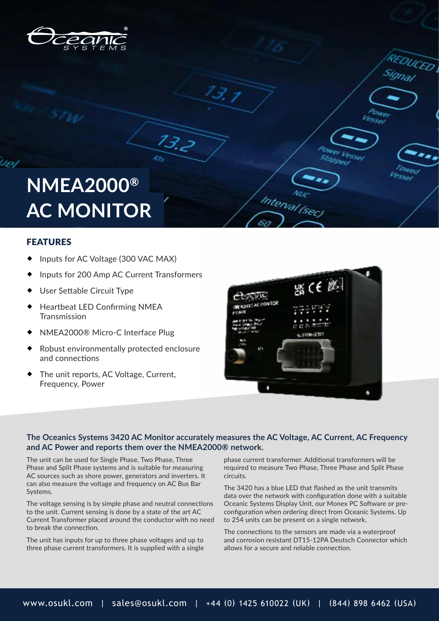

# **NMEA2000® AC MONITOR**

### FEATURES

- Inputs for AC Voltage (300 VAC MAX)
- Inputs for 200 Amp AC Current Transformers

 $13.2$ 

- User Settable Circuit Type
- Heartbeat LED Confirming NMEA Transmission
- NMEA2000® Micro-C Interface Plug
- Robust environmentally protected enclosure and connections
- The unit reports, AC Voltage, Current, Frequency, Power



Interval (sel

DUCED

Vessel

### **The Oceanics Systems 3420 AC Monitor accurately measures the AC Voltage, AC Current, AC Frequency and AC Power and reports them over the NMEA2000® network.**

The unit can be used for Single Phase, Two Phase, Three Phase and Split Phase systems and is suitable for measuring AC sources such as shore power, generators and inverters. It can also measure the voltage and frequency on AC Bus Bar Systems.

The voltage sensing is by simple phase and neutral connections to the unit. Current sensing is done by a state of the art AC Current Transformer placed around the conductor with no need to break the connection.

The unit has inputs for up to three phase voltages and up to three phase current transformers. It is supplied with a single phase current transformer. Additional transformers will be required to measure Two Phase, Three Phase and Split Phase circuits.

The 3420 has a blue LED that flashed as the unit transmits data over the network with configuration done with a suitable Oceanic Systems Display Unit, our Monex PC Software or preconfiguration when ordering direct from Oceanic Systems. Up to 254 units can be present on a single network.

The connections to the sensors are made via a waterproof and corrosion resistant DT15-12PA Deutsch Connector which allows for a secure and reliable connection.